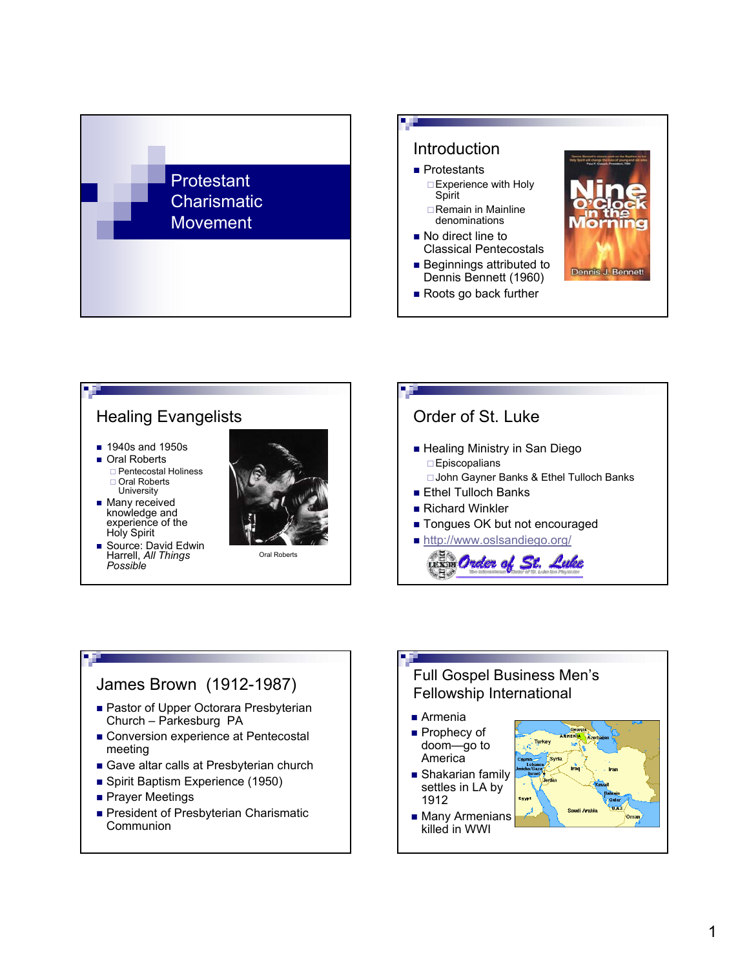





## James Brown (1912-1987)

- Pastor of Upper Octorara Presbyterian Church – Parkesburg PA
- Conversion experience at Pentecostal meeting
- Gave altar calls at Presbyterian church
- Spirit Baptism Experience (1950)
- **Prayer Meetings**
- President of Presbyterian Charismatic **Communion**

### Full Gospel Business Men's Fellowship International

- Armenia
- Prophecy of doom—go to **America**
- Shakarian family settles in LA by 1912
- **Many Armenians** killed in WWI

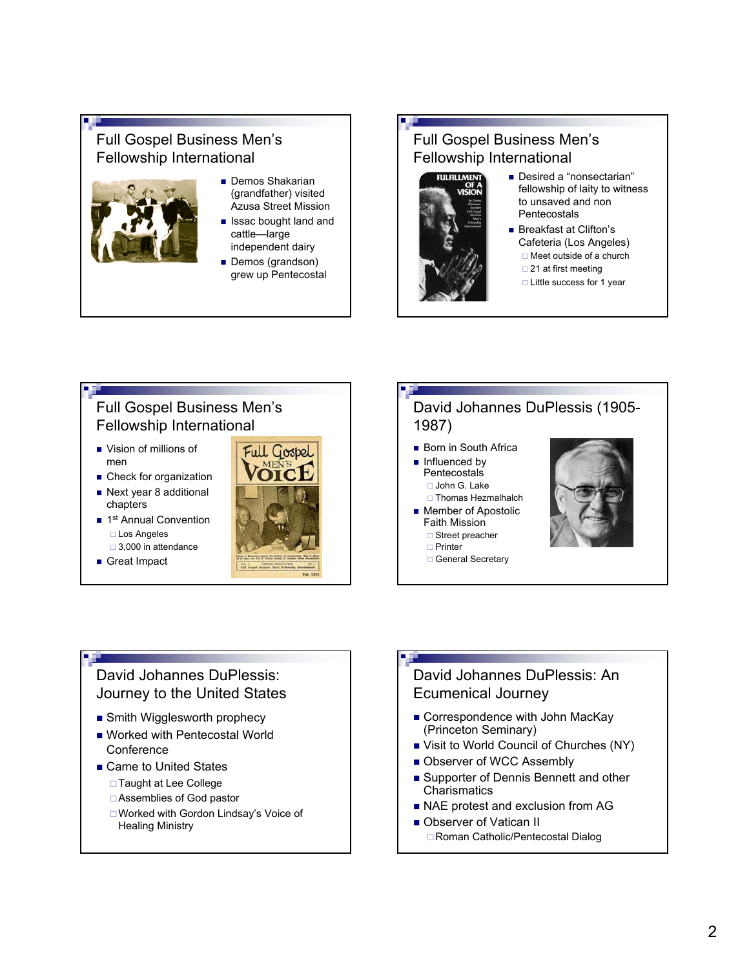## Full Gospel Business Men's Fellowship International



- **Demos Shakarian** (grandfather) visited Azusa Street Mission
- **In Issac bought land and** cattle—large independent dairy
- Demos (grandson) grew up Pentecostal

# Full Gospel Business Men's Fellowship International



- Desired a "nonsectarian" fellowship of laity to witness to unsaved and non Pentecostals
- **Breakfast at Clifton's** Cafeteria (Los Angeles) □ Meet outside of a church  $\Box$  21 at first meeting
	- □ Little success for 1 year

# Full Gospel Business Men's Fellowship International

- Vision of millions of men
- **Check for organization**
- Next year 8 additional chapters
- 1<sup>st</sup> Annual Convention Los Angeles □ 3,000 in attendance
- Great Impact



### David Johannes DuPlessis (1905- 1987)

- **Born in South Africa**
- Influenced by **Pentecostals** 
	- □ John G. Lake
	- □ Thomas Hezmalhalch
- **Member of Apostolic** Faith Mission □ Street preacher
	- □ Printer
	- General Secretary



## David Johannes DuPlessis: Journey to the United States

- **Smith Wigglesworth prophecy**
- Worked with Pentecostal World **Conference**
- Came to United States
	- □ Taught at Lee College
	- Assemblies of God pastor
	- Worked with Gordon Lindsay's Voice of Healing Ministry

### David Johannes DuPlessis: An Ecumenical Journey

- Correspondence with John MacKay (Princeton Seminary)
- Visit to World Council of Churches (NY)
- Observer of WCC Assembly
- Supporter of Dennis Bennett and other **Charismatics**
- NAE protest and exclusion from AG
- Observer of Vatican II □ Roman Catholic/Pentecostal Dialog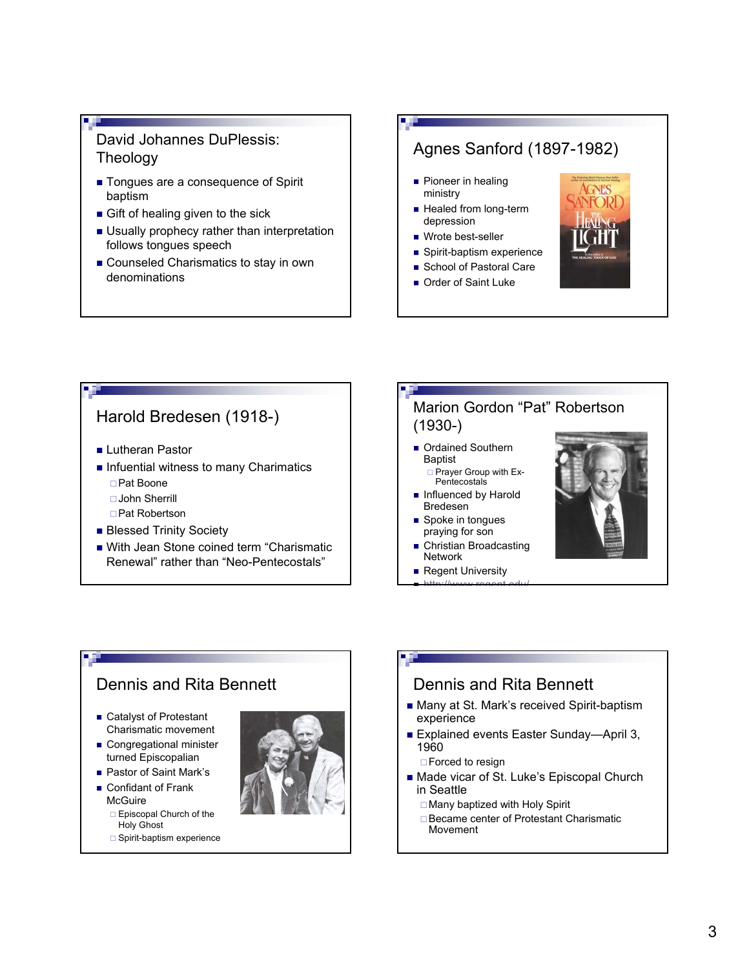## David Johannes DuPlessis: Theology

- Tongues are a consequence of Spirit baptism
- Gift of healing given to the sick
- **Usually prophecy rather than interpretation** follows tongues speech
- Counseled Charismatics to stay in own denominations

# Agnes Sanford (1897-1982)

- **Pioneer in healing** ministry
- **Healed from long-term** depression
- Wrote best-seller
- Spirit-baptism experience
- School of Pastoral Care
- Order of Saint Luke



# Harold Bredesen (1918-) **Lutheran Pastor**  $\blacksquare$  Infuential witness to many Charimatics Pat Boone John Sherrill □ Pat Robertson **Blessed Trinity Society** ■ With Jean Stone coined term "Charismatic Renewal" rather than "Neo-Pentecostals"

### Marion Gordon "Pat" Robertson (1930-)

- Ordained Southern **Baptist** □ Prayer Group with Ex-
	- Pentecostals
- Influenced by Harold Bredesen
- Spoke in tongues praying for son
- Christian Broadcasting Network
- Regent University  $\blacksquare$  http://www.regent.edu/



## Dennis and Rita Bennett ■ Catalyst of Protestant Charismatic movement Congregational minister turned Episcopalian

- Pastor of Saint Mark's
- Confidant of Frank **McGuire** 
	- $\Box$  Episcopal Church of the Holy Ghost
	- $\Box$  Spirit-baptism experience



### Dennis and Rita Bennett

- Many at St. Mark's received Spirit-baptism experience
- Explained events Easter Sunday—April 3, 1960

□ Forced to resign

- Made vicar of St. Luke's Episcopal Church in Seattle
	- Many baptized with Holy Spirit
	- □ Became center of Protestant Charismatic Movement